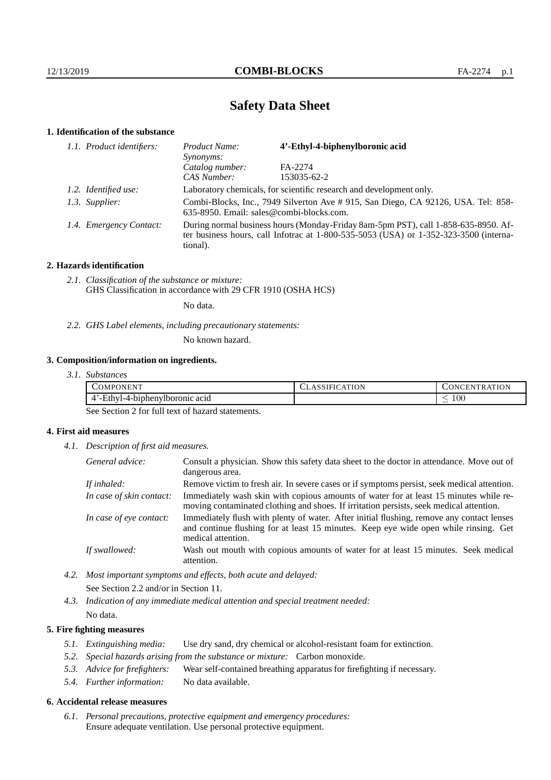# **Safety Data Sheet**

# **1. Identification of the substance**

| 1.1. Product identifiers: | 4'-Ethyl-4-biphenylboronic acid<br>Product Name:<br>Synonyms:                                                                                                                               |             |
|---------------------------|---------------------------------------------------------------------------------------------------------------------------------------------------------------------------------------------|-------------|
|                           | Catalog number:                                                                                                                                                                             | FA-2274     |
|                           | CAS Number:                                                                                                                                                                                 | 153035-62-2 |
| 1.2. Identified use:      | Laboratory chemicals, for scientific research and development only.                                                                                                                         |             |
| 1.3. Supplier:            | Combi-Blocks, Inc., 7949 Silverton Ave # 915, San Diego, CA 92126, USA. Tel: 858-<br>635-8950. Email: sales@combi-blocks.com.                                                               |             |
| 1.4. Emergency Contact:   | During normal business hours (Monday-Friday 8am-5pm PST), call 1-858-635-8950. Af-<br>ter business hours, call Infotrac at $1-800-535-5053$ (USA) or $1-352-323-3500$ (interna-<br>tional). |             |

## **2. Hazards identification**

*2.1. Classification of the substance or mixture:* GHS Classification in accordance with 29 CFR 1910 (OSHA HCS)

No data.

*2.2. GHS Label elements, including precautionary statements:*

No known hazard.

# **3. Composition/information on ingredients.**

*3.1. Substances*

| <b>TELTE</b><br>COMPONENT                          | ATION<br>$\Delta$<br>1 F I G<br>77. A 3311 | <b>ATION</b><br>TR.<br>UNCEN. |
|----------------------------------------------------|--------------------------------------------|-------------------------------|
| <br>thyl-4-biphenylboronic acid.<br>$ \Box$<br>. . |                                            | 100<br>_                      |

See Section 2 for full text of hazard statements.

## **4. First aid measures**

*4.1. Description of first aid measures.*

| General advice:          | Consult a physician. Show this safety data sheet to the doctor in attendance. Move out of<br>dangerous area.                                                                                            |
|--------------------------|---------------------------------------------------------------------------------------------------------------------------------------------------------------------------------------------------------|
| If inhaled:              | Remove victim to fresh air. In severe cases or if symptoms persist, seek medical attention.                                                                                                             |
| In case of skin contact: | Immediately wash skin with copious amounts of water for at least 15 minutes while re-<br>moving contaminated clothing and shoes. If irritation persists, seek medical attention.                        |
| In case of eye contact:  | Immediately flush with plenty of water. After initial flushing, remove any contact lenses<br>and continue flushing for at least 15 minutes. Keep eye wide open while rinsing. Get<br>medical attention. |
| If swallowed:            | Wash out mouth with copious amounts of water for at least 15 minutes. Seek medical<br>attention.                                                                                                        |

*4.2. Most important symptoms and effects, both acute and delayed:* See Section 2.2 and/or in Section 11.

*4.3. Indication of any immediate medical attention and special treatment needed:* No data.

# **5. Fire fighting measures**

- *5.1. Extinguishing media:* Use dry sand, dry chemical or alcohol-resistant foam for extinction.
- *5.2. Special hazards arising from the substance or mixture:* Carbon monoxide.
- *5.3. Advice for firefighters:* Wear self-contained breathing apparatus for firefighting if necessary.
- *5.4. Further information:* No data available.

## **6. Accidental release measures**

*6.1. Personal precautions, protective equipment and emergency procedures:* Ensure adequate ventilation. Use personal protective equipment.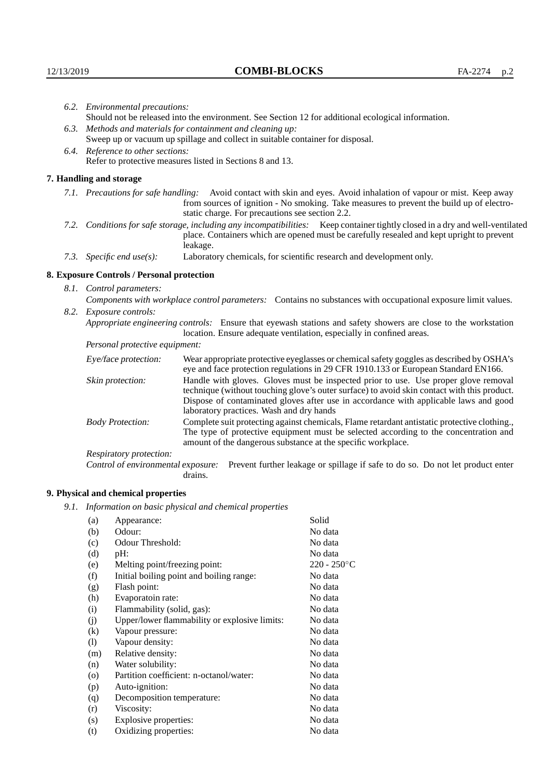|                                                                                | 6.2. Environmental precautions:                                                                                                                                                                                                                                    |                                                                                                                                                                                                                                                                                                                        |  |  |
|--------------------------------------------------------------------------------|--------------------------------------------------------------------------------------------------------------------------------------------------------------------------------------------------------------------------------------------------------------------|------------------------------------------------------------------------------------------------------------------------------------------------------------------------------------------------------------------------------------------------------------------------------------------------------------------------|--|--|
|                                                                                | Should not be released into the environment. See Section 12 for additional ecological information.                                                                                                                                                                 |                                                                                                                                                                                                                                                                                                                        |  |  |
|                                                                                | 6.3. Methods and materials for containment and cleaning up:                                                                                                                                                                                                        |                                                                                                                                                                                                                                                                                                                        |  |  |
| Sweep up or vacuum up spillage and collect in suitable container for disposal. |                                                                                                                                                                                                                                                                    |                                                                                                                                                                                                                                                                                                                        |  |  |
|                                                                                | 6.4. Reference to other sections:                                                                                                                                                                                                                                  |                                                                                                                                                                                                                                                                                                                        |  |  |
|                                                                                |                                                                                                                                                                                                                                                                    | Refer to protective measures listed in Sections 8 and 13.                                                                                                                                                                                                                                                              |  |  |
|                                                                                | 7. Handling and storage                                                                                                                                                                                                                                            |                                                                                                                                                                                                                                                                                                                        |  |  |
|                                                                                | 7.1. Precautions for safe handling: Avoid contact with skin and eyes. Avoid inhalation of vapour or mist. Keep away<br>from sources of ignition - No smoking. Take measures to prevent the build up of electro-<br>static charge. For precautions see section 2.2. |                                                                                                                                                                                                                                                                                                                        |  |  |
|                                                                                |                                                                                                                                                                                                                                                                    | 7.2. Conditions for safe storage, including any incompatibilities: Keep container tightly closed in a dry and well-ventilated<br>place. Containers which are opened must be carefully resealed and kept upright to prevent<br>leakage.                                                                                 |  |  |
|                                                                                | 7.3. Specific end use(s):                                                                                                                                                                                                                                          | Laboratory chemicals, for scientific research and development only.                                                                                                                                                                                                                                                    |  |  |
|                                                                                | 8. Exposure Controls / Personal protection                                                                                                                                                                                                                         |                                                                                                                                                                                                                                                                                                                        |  |  |
|                                                                                | 8.1. Control parameters:                                                                                                                                                                                                                                           |                                                                                                                                                                                                                                                                                                                        |  |  |
|                                                                                | Components with workplace control parameters: Contains no substances with occupational exposure limit values.                                                                                                                                                      |                                                                                                                                                                                                                                                                                                                        |  |  |
|                                                                                | 8.2. Exposure controls:                                                                                                                                                                                                                                            |                                                                                                                                                                                                                                                                                                                        |  |  |
|                                                                                |                                                                                                                                                                                                                                                                    | Appropriate engineering controls: Ensure that eyewash stations and safety showers are close to the workstation<br>location. Ensure adequate ventilation, especially in confined areas.                                                                                                                                 |  |  |
|                                                                                | Personal protective equipment:                                                                                                                                                                                                                                     |                                                                                                                                                                                                                                                                                                                        |  |  |
|                                                                                | Eye/face protection:                                                                                                                                                                                                                                               | Wear appropriate protective eyeglasses or chemical safety goggles as described by OSHA's<br>eye and face protection regulations in 29 CFR 1910.133 or European Standard EN166.                                                                                                                                         |  |  |
|                                                                                | Skin protection:                                                                                                                                                                                                                                                   | Handle with gloves. Gloves must be inspected prior to use. Use proper glove removal<br>technique (without touching glove's outer surface) to avoid skin contact with this product.<br>Dispose of contaminated gloves after use in accordance with applicable laws and good<br>laboratory practices. Wash and dry hands |  |  |
|                                                                                | <b>Body Protection:</b>                                                                                                                                                                                                                                            | Complete suit protecting against chemicals, Flame retardant antistatic protective clothing.,<br>The type of protective equipment must be selected according to the concentration and<br>amount of the dangerous substance at the specific workplace.                                                                   |  |  |
|                                                                                | Respiratory protection:                                                                                                                                                                                                                                            |                                                                                                                                                                                                                                                                                                                        |  |  |

Control of environmental exposure: Prevent further leakage or spillage if safe to do so. Do not let product enter drains.

# **9. Physical and chemical properties**

*9.1. Information on basic physical and chemical properties*

| (a)                | Appearance:                                   | Solid          |
|--------------------|-----------------------------------------------|----------------|
| (b)                | Odour:                                        | No data        |
| (c)                | Odour Threshold:                              | No data        |
| (d)                | pH:                                           | No data        |
| (e)                | Melting point/freezing point:                 | $220 - 250$ °C |
| (f)                | Initial boiling point and boiling range:      | No data        |
| (g)                | Flash point:                                  | No data        |
| (h)                | Evaporatoin rate:                             | No data        |
| (i)                | Flammability (solid, gas):                    | No data        |
| (j)                | Upper/lower flammability or explosive limits: | No data        |
| $\left( k\right)$  | Vapour pressure:                              | No data        |
| (1)                | Vapour density:                               | No data        |
| (m)                | Relative density:                             | No data        |
| (n)                | Water solubility:                             | No data        |
| $\left( 0 \right)$ | Partition coefficient: n-octanol/water:       | No data        |
| (p)                | Auto-ignition:                                | No data        |
| (q)                | Decomposition temperature:                    | No data        |
| (r)                | Viscosity:                                    | No data        |
| (s)                | Explosive properties:                         | No data        |
| (t)                | Oxidizing properties:                         | No data        |